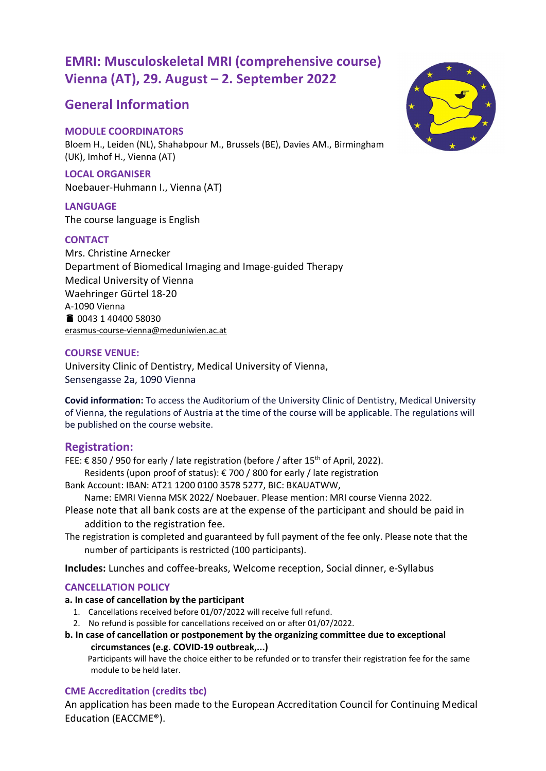# EMRI: Musculoskeletal MRI (comprehensive course) Vienna (AT), 29. August – 2. September 2022

# General Information

# MODULE COORDINATORS

Bloem H., Leiden (NL), Shahabpour M., Brussels (BE), Davies AM., Birmingham (UK), Imhof H., Vienna (AT)

LOCAL ORGANISER Noebauer-Huhmann I., Vienna (AT)

LANGUAGE The course language is English

## **CONTACT**

Mrs. Christine Arnecker Department of Biomedical Imaging and Image-guided Therapy Medical University of Vienna Waehringer Gürtel 18-20 A-1090 Vienna 0043 1 40400 58030 erasmus-course-vienna@meduniwien.ac.at

## COURSE VENUE:

University Clinic of Dentistry, Medical University of Vienna, Sensengasse 2a, 1090 Vienna

Covid information: To access the Auditorium of the University Clinic of Dentistry, Medical University of Vienna, the regulations of Austria at the time of the course will be applicable. The regulations will be published on the course website.

## Registration:

FEE: € 850 / 950 for early / late registration (before / after 15<sup>th</sup> of April, 2022).

Residents (upon proof of status): € 700 / 800 for early / late registration

Bank Account: IBAN: AT21 1200 0100 3578 5277, BIC: BKAUATWW,

Name: EMRI Vienna MSK 2022/ Noebauer. Please mention: MRI course Vienna 2022.

- Please note that all bank costs are at the expense of the participant and should be paid in addition to the registration fee.
- The registration is completed and guaranteed by full payment of the fee only. Please note that the number of participants is restricted (100 participants).

Includes: Lunches and coffee-breaks, Welcome reception, Social dinner, e-Syllabus

## CANCELLATION POLICY

## a. In case of cancellation by the participant

- 1. Cancellations received before 01/07/2022 will receive full refund.
- 2. No refund is possible for cancellations received on or after 01/07/2022.
- b. In case of cancellation or postponement by the organizing committee due to exceptional circumstances (e.g. COVID-19 outbreak,...)

 Participants will have the choice either to be refunded or to transfer their registration fee for the same module to be held later.

# CME Accreditation (credits tbc)

An application has been made to the European Accreditation Council for Continuing Medical Education (EACCME®).

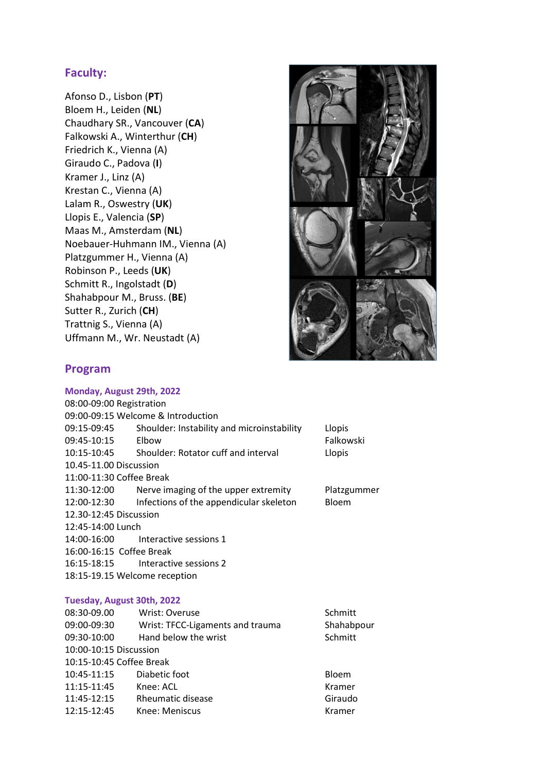# Faculty:

Afonso D., Lisbon (PT) Bloem H., Leiden (NL) Chaudhary SR., Vancouver (CA) Falkowski A., Winterthur (CH) Friedrich K., Vienna (A) Giraudo C., Padova (I) Kramer J., Linz (A) Krestan C., Vienna (A) Lalam R., Oswestry (UK) Llopis E., Valencia (SP) Maas M., Amsterdam (NL) Noebauer-Huhmann IM., Vienna (A) Platzgummer H., Vienna (A) Robinson P., Leeds (UK) Schmitt R., Ingolstadt (D) Shahabpour M., Bruss. (BE) Sutter R., Zurich (CH) Trattnig S., Vienna (A) Uffmann M., Wr. Neustadt (A)



# Program

### Monday, August 29th, 2022

| 08:00-09:00 Registration      |                                            |             |  |  |
|-------------------------------|--------------------------------------------|-------------|--|--|
|                               | 09:00-09:15 Welcome & Introduction         |             |  |  |
| 09:15-09:45                   | Shoulder: Instability and microinstability | Llopis      |  |  |
| 09:45-10:15                   | Elbow                                      | Falkowski   |  |  |
| 10:15-10:45                   | Shoulder: Rotator cuff and interval        | Llopis      |  |  |
| 10.45-11.00 Discussion        |                                            |             |  |  |
| 11:00-11:30 Coffee Break      |                                            |             |  |  |
| 11:30-12:00                   | Nerve imaging of the upper extremity       | Platzgummer |  |  |
| 12:00-12:30                   | Infections of the appendicular skeleton    | Bloem       |  |  |
| 12.30-12:45 Discussion        |                                            |             |  |  |
| 12:45-14:00 Lunch             |                                            |             |  |  |
|                               | 14:00-16:00 Interactive sessions 1         |             |  |  |
| 16:00-16:15 Coffee Break      |                                            |             |  |  |
|                               | 16:15-18:15 Interactive sessions 2         |             |  |  |
| 18:15-19.15 Welcome reception |                                            |             |  |  |
|                               |                                            |             |  |  |

#### Tuesday, August 30th, 2022

| 08:30-09.00              | Wrist: Overuse                   | Schmitt    |
|--------------------------|----------------------------------|------------|
| 09:00-09:30              | Wrist: TFCC-Ligaments and trauma | Shahabpour |
| 09:30-10:00              | Hand below the wrist             | Schmitt    |
| 10:00-10:15 Discussion   |                                  |            |
| 10:15-10:45 Coffee Break |                                  |            |
| 10:45-11:15              | Diabetic foot                    | Bloem      |
| 11:15-11:45              | Knee: ACL                        | Kramer     |
| 11:45-12:15              | Rheumatic disease                | Giraudo    |
| 12:15-12:45              | Knee: Meniscus                   | Kramer     |